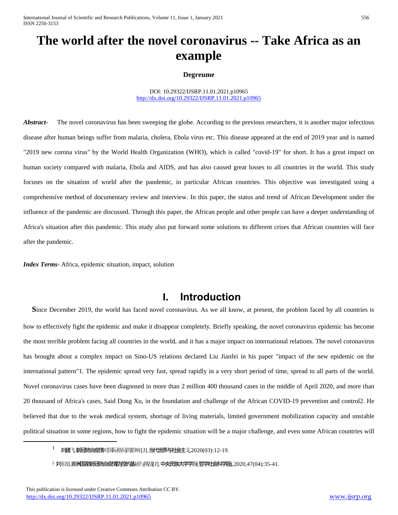International Journal of Scientific and Research Publications, Volume 11, Issue 1, January 2021 556 ISSN 2250-3153

# **The world after the novel coronavirus -- Take Africa as an example**

#### **Degreume**

DOI: 10.29322/IJSRP.11.01.2021.p10965 <http://dx.doi.org/10.29322/IJSRP.11.01.2021.p10965>

*Abstract* The novel coronavirus has been sweeping the globe. According to the previous researchers, it is another major infectious disease after human beings suffer from malaria, cholera, Ebola virus etc. This disease appeared at the end of 2019 year and is named "2019 new corona virus" by the World Health Organization (WHO), which is called "covid-19" for short. It has a great impact on human society compared with malaria, Ebola and AIDS, and has also caused great losses to all countries in the world. This study focuses on the situation of world after the pandemic, in particular African countries. This objective was investigated using a comprehensive method of documentary review and interview. In this paper, the status and trend of African Development under the influence of the pandemic are discussed. Through this paper, the African people and other people can have a deeper understanding of Africa's situation after this pandemic. This study also put forward some solutions to different crises that African countries will face after the pandemic.

*Index Terms*- Africa, epidemic situation, impact, solution

### **I. Introduction**

**S**ince December 2019, the world has faced novel coronavirus. As we all know, at present, the problem faced by all countries is how to effectively fight the epidemic and make it disappear completely. Briefly speaking, the novel coronavirus epidemic has become the most terrible problem facing all countries in the world, and it has a major impact on international relations. The novel coronavirus has brought about a complex impact on Sino-US relations declared Liu Jianfei in his paper "impact of the new epidemic on the international pattern"1. The epidemic spread very fast, spread rapidly in a very short period of time, spread to all parts of the world. Novel coronavirus cases have been diagnosed in more than 2 million 400 thousand cases in the middle of April 2020, and more than 20 thousand of Africa's cases, Said Dong Xu, in the foundation and challenge of the African COVID-19 prevention and control2. He believed that due to the weak medical system, shortage of living materials, limited government mobilization capacity and unstable political situation in some regions, how to fight the epidemic situation will be a major challenge, and even some African countries will

<sup>1</sup> 刘建飞.新西肺炎疫情对国际格局的影响 [J]. 当代世界与社会主义,2020(03):12-19.

 $2 \text{ NF,10}$ . 非洲国家新洲市炎疫情对控的基础与挑战[J].中央民族大学学报,哲学社会科学版,2020,47(04):35-41.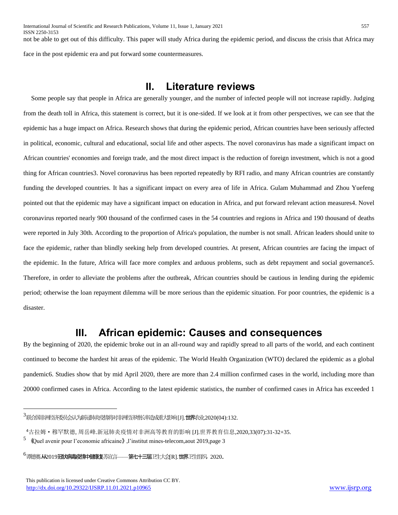## **II. Literature reviews**

 Some people say that people in Africa are generally younger, and the number of infected people will not increase rapidly. Judging from the death toll in Africa, this statement is correct, but it is one-sided. If we look at it from other perspectives, we can see that the epidemic has a huge impact on Africa. Research shows that during the epidemic period, African countries have been seriously affected in political, economic, cultural and educational, social life and other aspects. The novel coronavirus has made a significant impact on African countries' economies and foreign trade, and the most direct impact is the reduction of foreign investment, which is not a good thing for African countries3. Novel coronavirus has been reported repeatedly by RFI radio, and many African countries are constantly funding the developed countries. It has a significant impact on every area of life in Africa. Gulam Muhammad and Zhou Yuefeng pointed out that the epidemic may have a significant impact on education in Africa, and put forward relevant action measures4. Novel coronavirus reported nearly 900 thousand of the confirmed cases in the 54 countries and regions in Africa and 190 thousand of deaths were reported in July 30th. According to the proportion of Africa's population, the number is not small. African leaders should unite to face the epidemic, rather than blindly seeking help from developed countries. At present, African countries are facing the impact of the epidemic. In the future, Africa will face more complex and arduous problems, such as debt repayment and social governance5. Therefore, in order to alleviate the problems after the outbreak, African countries should be cautious in lending during the epidemic period; otherwise the loan repayment dilemma will be more serious than the epidemic situation. For poor countries, the epidemic is a disaster.

## **III. African epidemic: Causes and consequences**

By the beginning of 2020, the epidemic broke out in an all-round way and rapidly spread to all parts of the world, and each continent continued to become the hardest hit areas of the epidemic. The World Health Organization (WTO) declared the epidemic as a global pandemic6. Studies show that by mid April 2020, there are more than 2.4 million confirmed cases in the world, including more than 20000 confirmed cases in Africa. According to the latest epidemic statistics, the number of confirmed cases in Africa has exceeded 1

<sup>3</sup>联合国非洲经济委员会认为新冠肺炎疫情将对非洲经济增长率造成重大影响 [J].世界农业,2020(04):132.

<sup>4</sup>古拉姆·穆罕默德, 周岳峰.新冠肺炎疫情对非洲高等教育的影响 [J].世界教育信息,2020,33(07):31-32+35.

<sup>5</sup> 《Quel avenir pour l'economie africaine》,l'institut mines-telecom,aout 2019,page 3

<sup>6&</sup>lt;sub>『谭德赛·</sub>从2019**冠以病毒疫情中健康复**苏宣言——**第七十三届**卫生大会[R].世界卫生组织,2020.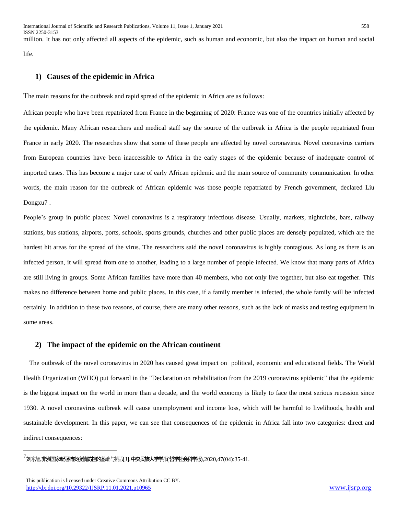million. It has not only affected all aspects of the epidemic, such as human and economic, but also the impact on human and social life.

#### **1) Causes of the epidemic in Africa**

The main reasons for the outbreak and rapid spread of the epidemic in Africa are as follows:

African people who have been repatriated from France in the beginning of 2020: France was one of the countries initially affected by the epidemic. Many African researchers and medical staff say the source of the outbreak in Africa is the people repatriated from France in early 2020. The researches show that some of these people are affected by novel coronavirus. Novel coronavirus carriers from European countries have been inaccessible to Africa in the early stages of the epidemic because of inadequate control of imported cases. This has become a major case of early African epidemic and the main source of community communication. In other words, the main reason for the outbreak of African epidemic was those people repatriated by French government, declared Liu Dongxu7 .

People's group in public places: Novel coronavirus is a respiratory infectious disease. Usually, markets, nightclubs, bars, railway stations, bus stations, airports, ports, schools, sports grounds, churches and other public places are densely populated, which are the hardest hit areas for the spread of the virus. The researchers said the novel coronavirus is highly contagious. As long as there is an infected person, it will spread from one to another, leading to a large number of people infected. We know that many parts of Africa are still living in groups. Some African families have more than 40 members, who not only live together, but also eat together. This makes no difference between home and public places. In this case, if a family member is infected, the whole family will be infected certainly. In addition to these two reasons, of course, there are many other reasons, such as the lack of masks and testing equipment in some areas.

#### **2) The impact of the epidemic on the African continent**

 The outbreak of the novel coronavirus in 2020 has caused great impact on political, economic and educational fields. The World Health Organization (WHO) put forward in the "Declaration on rehabilitation from the 2019 coronavirus epidemic" that the epidemic is the biggest impact on the world in more than a decade, and the world economy is likely to face the most serious recession since 1930. A novel coronavirus outbreak will cause unemployment and income loss, which will be harmful to livelihoods, health and sustainable development. In this paper, we can see that consequences of the epidemic in Africa fall into two categories: direct and indirect consequences:

 $^7$ 刘东旭.**非洲国家新冠市炎疫情功控的基**础与挑战[J].中央民族大学学报(哲学社会科学版),2020,47(04):35-41.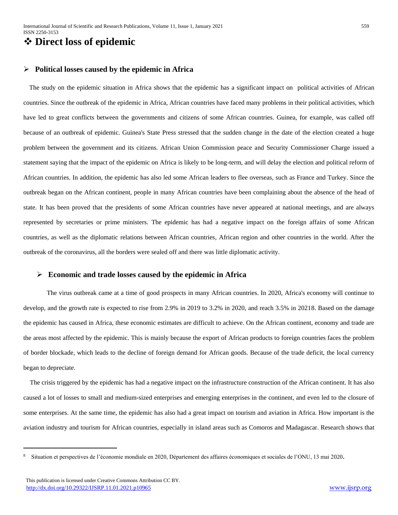### **Direct loss of epidemic**

#### **Political losses caused by the epidemic in Africa**

 The study on the epidemic situation in Africa shows that the epidemic has a significant impact on political activities of African countries. Since the outbreak of the epidemic in Africa, African countries have faced many problems in their political activities, which have led to great conflicts between the governments and citizens of some African countries. Guinea, for example, was called off because of an outbreak of epidemic. Guinea's State Press stressed that the sudden change in the date of the election created a huge problem between the government and its citizens. African Union Commission peace and Security Commissioner Charge issued a statement saying that the impact of the epidemic on Africa is likely to be long-term, and will delay the election and political reform of African countries. In addition, the epidemic has also led some African leaders to flee overseas, such as France and Turkey. Since the outbreak began on the African continent, people in many African countries have been complaining about the absence of the head of state. It has been proved that the presidents of some African countries have never appeared at national meetings, and are always represented by secretaries or prime ministers. The epidemic has had a negative impact on the foreign affairs of some African countries, as well as the diplomatic relations between African countries, African region and other countries in the world. After the outbreak of the coronavirus, all the borders were sealed off and there was little diplomatic activity.

#### **Economic and trade losses caused by the epidemic in Africa**

 The virus outbreak came at a time of good prospects in many African countries. In 2020, Africa's economy will continue to develop, and the growth rate is expected to rise from 2.9% in 2019 to 3.2% in 2020, and reach 3.5% in 20218. Based on the damage the epidemic has caused in Africa, these economic estimates are difficult to achieve. On the African continent, economy and trade are the areas most affected by the epidemic. This is mainly because the export of African products to foreign countries faces the problem of border blockade, which leads to the decline of foreign demand for African goods. Because of the trade deficit, the local currency began to depreciate.

 The crisis triggered by the epidemic has had a negative impact on the infrastructure construction of the African continent. It has also caused a lot of losses to small and medium-sized enterprises and emerging enterprises in the continent, and even led to the closure of some enterprises. At the same time, the epidemic has also had a great impact on tourism and aviation in Africa. How important is the aviation industry and tourism for African countries, especially in island areas such as Comoros and Madagascar. Research shows that

<sup>8</sup> Situation et perspectives de l'économie mondiale en 2020, Département des affaires économiques et sociales de l'ONU, 13 mai 2020.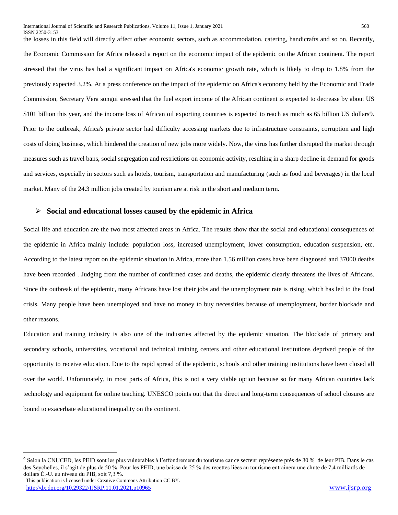the losses in this field will directly affect other economic sectors, such as accommodation, catering, handicrafts and so on. Recently, the Economic Commission for Africa released a report on the economic impact of the epidemic on the African continent. The report stressed that the virus has had a significant impact on Africa's economic growth rate, which is likely to drop to 1.8% from the previously expected 3.2%. At a press conference on the impact of the epidemic on Africa's economy held by the Economic and Trade Commission, Secretary Vera songui stressed that the fuel export income of the African continent is expected to decrease by about US \$101 billion this year, and the income loss of African oil exporting countries is expected to reach as much as 65 billion US dollars9. Prior to the outbreak, Africa's private sector had difficulty accessing markets due to infrastructure constraints, corruption and high costs of doing business, which hindered the creation of new jobs more widely. Now, the virus has further disrupted the market through measures such as travel bans, social segregation and restrictions on economic activity, resulting in a sharp decline in demand for goods and services, especially in sectors such as hotels, tourism, transportation and manufacturing (such as food and beverages) in the local market. Many of the 24.3 million jobs created by tourism are at risk in the short and medium term.

#### **Social and educational losses caused by the epidemic in Africa**

Social life and education are the two most affected areas in Africa. The results show that the social and educational consequences of the epidemic in Africa mainly include: population loss, increased unemployment, lower consumption, education suspension, etc. According to the latest report on the epidemic situation in Africa, more than 1.56 million cases have been diagnosed and 37000 deaths have been recorded . Judging from the number of confirmed cases and deaths, the epidemic clearly threatens the lives of Africans. Since the outbreak of the epidemic, many Africans have lost their jobs and the unemployment rate is rising, which has led to the food crisis. Many people have been unemployed and have no money to buy necessities because of unemployment, border blockade and other reasons.

Education and training industry is also one of the industries affected by the epidemic situation. The blockade of primary and secondary schools, universities, vocational and technical training centers and other educational institutions deprived people of the opportunity to receive education. Due to the rapid spread of the epidemic, schools and other training institutions have been closed all over the world. Unfortunately, in most parts of Africa, this is not a very viable option because so far many African countries lack technology and equipment for online teaching. UNESCO points out that the direct and long-term consequences of school closures are bound to exacerbate educational inequality on the continent.

<sup>9</sup> Selon la CNUCED, les PEID sont les plus vulnérables à l'effondrement du tourisme car ce secteur représente près de 30 % de leur PIB. Dans le cas des Seychelles, il s'agit de plus de 50 %. Pour les PEID, une baisse de 25 % des recettes liées au tourisme entraînera une chute de 7,4 milliards de dollars É.-U. au niveau du PIB, soit 7,3 %.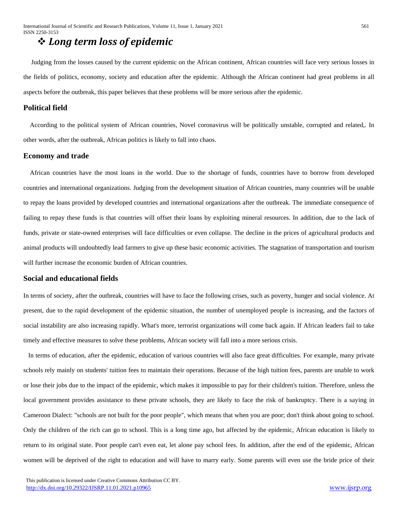## *Long term loss of epidemic*

 Judging from the losses caused by the current epidemic on the African continent, African countries will face very serious losses in the fields of politics, economy, society and education after the epidemic. Although the African continent had great problems in all aspects before the outbreak, this paper believes that these problems will be more serious after the epidemic.

#### **Political field**

 According to the political system of African countries, Novel coronavirus will be politically unstable, corrupted and related,. In other words, after the outbreak, African politics is likely to fall into chaos.

#### **Economy and trade**

 African countries have the most loans in the world. Due to the shortage of funds, countries have to borrow from developed countries and international organizations. Judging from the development situation of African countries, many countries will be unable to repay the loans provided by developed countries and international organizations after the outbreak. The immediate consequence of failing to repay these funds is that countries will offset their loans by exploiting mineral resources. In addition, due to the lack of funds, private or state-owned enterprises will face difficulties or even collapse. The decline in the prices of agricultural products and animal products will undoubtedly lead farmers to give up these basic economic activities. The stagnation of transportation and tourism will further increase the economic burden of African countries.

#### **Social and educational fields**

In terms of society, after the outbreak, countries will have to face the following crises, such as poverty, hunger and social violence. At present, due to the rapid development of the epidemic situation, the number of unemployed people is increasing, and the factors of social instability are also increasing rapidly. What's more, terrorist organizations will come back again. If African leaders fail to take timely and effective measures to solve these problems, African society will fall into a more serious crisis.

 In terms of education, after the epidemic, education of various countries will also face great difficulties. For example, many private schools rely mainly on students' tuition fees to maintain their operations. Because of the high tuition fees, parents are unable to work or lose their jobs due to the impact of the epidemic, which makes it impossible to pay for their children's tuition. Therefore, unless the local government provides assistance to these private schools, they are likely to face the risk of bankruptcy. There is a saying in Cameroon Dialect: "schools are not built for the poor people", which means that when you are poor; don't think about going to school. Only the children of the rich can go to school. This is a long time ago, but affected by the epidemic, African education is likely to return to its original state. Poor people can't even eat, let alone pay school fees. In addition, after the end of the epidemic, African women will be deprived of the right to education and will have to marry early. Some parents will even use the bride price of their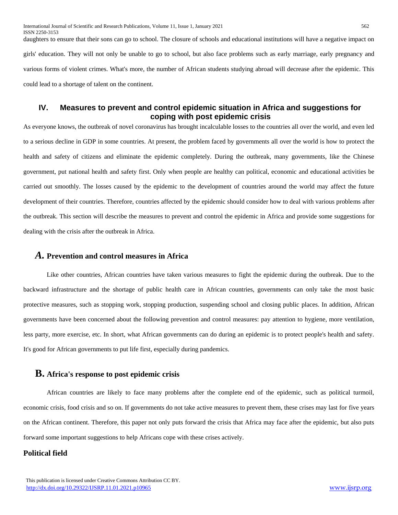daughters to ensure that their sons can go to school. The closure of schools and educational institutions will have a negative impact on girls' education. They will not only be unable to go to school, but also face problems such as early marriage, early pregnancy and various forms of violent crimes. What's more, the number of African students studying abroad will decrease after the epidemic. This could lead to a shortage of talent on the continent.

### **IV. Measures to prevent and control epidemic situation in Africa and suggestions for coping with post epidemic crisis**

As everyone knows, the outbreak of novel coronavirus has brought incalculable losses to the countries all over the world, and even led to a serious decline in GDP in some countries. At present, the problem faced by governments all over the world is how to protect the health and safety of citizens and eliminate the epidemic completely. During the outbreak, many governments, like the Chinese government, put national health and safety first. Only when people are healthy can political, economic and educational activities be carried out smoothly. The losses caused by the epidemic to the development of countries around the world may affect the future development of their countries. Therefore, countries affected by the epidemic should consider how to deal with various problems after the outbreak. This section will describe the measures to prevent and control the epidemic in Africa and provide some suggestions for dealing with the crisis after the outbreak in Africa.

#### *A.* **Prevention and control measures in Africa**

 Like other countries, African countries have taken various measures to fight the epidemic during the outbreak. Due to the backward infrastructure and the shortage of public health care in African countries, governments can only take the most basic protective measures, such as stopping work, stopping production, suspending school and closing public places. In addition, African governments have been concerned about the following prevention and control measures: pay attention to hygiene, more ventilation, less party, more exercise, etc. In short, what African governments can do during an epidemic is to protect people's health and safety. It's good for African governments to put life first, especially during pandemics.

#### **B. Africa's response to post epidemic crisis**

 African countries are likely to face many problems after the complete end of the epidemic, such as political turmoil, economic crisis, food crisis and so on. If governments do not take active measures to prevent them, these crises may last for five years on the African continent. Therefore, this paper not only puts forward the crisis that Africa may face after the epidemic, but also puts forward some important suggestions to help Africans cope with these crises actively.

#### **Political field**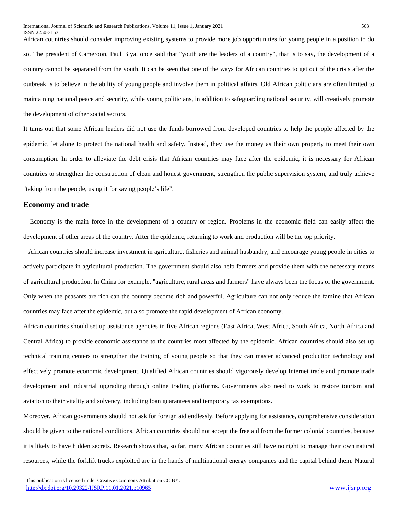African countries should consider improving existing systems to provide more job opportunities for young people in a position to do so. The president of Cameroon, Paul Biya, once said that "youth are the leaders of a country", that is to say, the development of a country cannot be separated from the youth. It can be seen that one of the ways for African countries to get out of the crisis after the outbreak is to believe in the ability of young people and involve them in political affairs. Old African politicians are often limited to maintaining national peace and security, while young politicians, in addition to safeguarding national security, will creatively promote the development of other social sectors.

It turns out that some African leaders did not use the funds borrowed from developed countries to help the people affected by the epidemic, let alone to protect the national health and safety. Instead, they use the money as their own property to meet their own consumption. In order to alleviate the debt crisis that African countries may face after the epidemic, it is necessary for African countries to strengthen the construction of clean and honest government, strengthen the public supervision system, and truly achieve "taking from the people, using it for saving people's life".

#### **Economy and trade**

 Economy is the main force in the development of a country or region. Problems in the economic field can easily affect the development of other areas of the country. After the epidemic, returning to work and production will be the top priority.

 African countries should increase investment in agriculture, fisheries and animal husbandry, and encourage young people in cities to actively participate in agricultural production. The government should also help farmers and provide them with the necessary means of agricultural production. In China for example, "agriculture, rural areas and farmers" have always been the focus of the government. Only when the peasants are rich can the country become rich and powerful. Agriculture can not only reduce the famine that African countries may face after the epidemic, but also promote the rapid development of African economy.

African countries should set up assistance agencies in five African regions (East Africa, West Africa, South Africa, North Africa and Central Africa) to provide economic assistance to the countries most affected by the epidemic. African countries should also set up technical training centers to strengthen the training of young people so that they can master advanced production technology and effectively promote economic development. Qualified African countries should vigorously develop Internet trade and promote trade development and industrial upgrading through online trading platforms. Governments also need to work to restore tourism and aviation to their vitality and solvency, including loan guarantees and temporary tax exemptions.

Moreover, African governments should not ask for foreign aid endlessly. Before applying for assistance, comprehensive consideration should be given to the national conditions. African countries should not accept the free aid from the former colonial countries, because it is likely to have hidden secrets. Research shows that, so far, many African countries still have no right to manage their own natural resources, while the forklift trucks exploited are in the hands of multinational energy companies and the capital behind them. Natural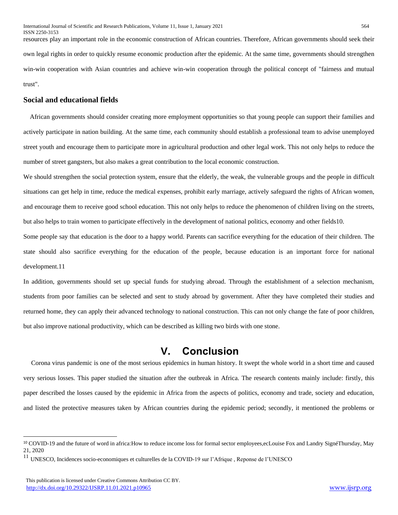resources play an important role in the economic construction of African countries. Therefore, African governments should seek their own legal rights in order to quickly resume economic production after the epidemic. At the same time, governments should strengthen win-win cooperation with Asian countries and achieve win-win cooperation through the political concept of "fairness and mutual trust".

#### **Social and educational fields**

 African governments should consider creating more employment opportunities so that young people can support their families and actively participate in nation building. At the same time, each community should establish a professional team to advise unemployed street youth and encourage them to participate more in agricultural production and other legal work. This not only helps to reduce the number of street gangsters, but also makes a great contribution to the local economic construction.

We should strengthen the social protection system, ensure that the elderly, the weak, the vulnerable groups and the people in difficult situations can get help in time, reduce the medical expenses, prohibit early marriage, actively safeguard the rights of African women, and encourage them to receive good school education. This not only helps to reduce the phenomenon of children living on the streets, but also helps to train women to participate effectively in the development of national politics, economy and other fields10.

Some people say that education is the door to a happy world. Parents can sacrifice everything for the education of their children. The state should also sacrifice everything for the education of the people, because education is an important force for national development.11

In addition, governments should set up special funds for studying abroad. Through the establishment of a selection mechanism, students from poor families can be selected and sent to study abroad by government. After they have completed their studies and returned home, they can apply their advanced technology to national construction. This can not only change the fate of poor children, but also improve national productivity, which can be described as killing two birds with one stone.

### **V. Conclusion**

 Corona virus pandemic is one of the most serious epidemics in human history. It swept the whole world in a short time and caused very serious losses. This paper studied the situation after the outbreak in Africa. The research contents mainly include: firstly, this paper described the losses caused by the epidemic in Africa from the aspects of politics, economy and trade, society and education, and listed the protective measures taken by African countries during the epidemic period; secondly, it mentioned the problems or

<sup>10</sup> COVID-19 and the future of word in africa:How to reduce income loss for formal sector employees,ecLouise Fox and Landry SignéThursday, May 21, 2020

<sup>&</sup>lt;sup>11</sup> UNESCO, Incidences socio-economiques et culturelles de la COVID-19 sur l'Afrique, Reponse de l'UNESCO